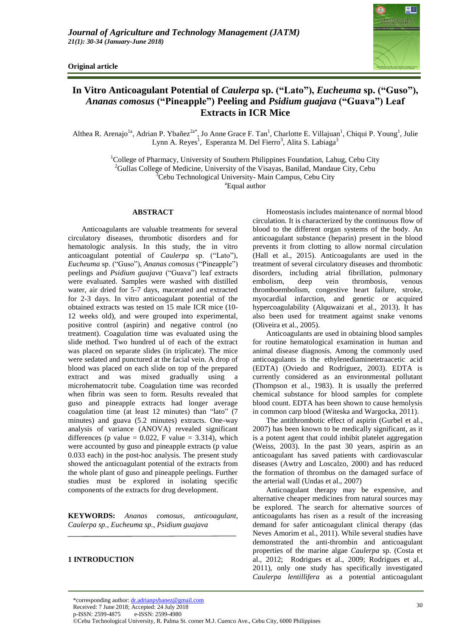**Original article**



# **In Vitro Anticoagulant Potential of** *Caulerpa* **sp. ("Lato"),** *Eucheuma* **sp. ("Guso"),**  *Ananas comosus* **("Pineapple") Peeling and** *Psidium guajava* **("Guava") Leaf Extracts in ICR Mice**

Althea R. Arenajo<sup>la</sup>, Adrian P. Ybañez<sup>2a\*</sup>, Jo Anne Grace F. Tan<sup>1</sup>, Charlotte E. Villajuan<sup>1</sup>, Chiqui P. Young<sup>1</sup>, Julie Lynn A. Reyes<sup>1</sup>, Esperanza M. Del Fierro<sup>3</sup>, Alita S. Labiaga<sup>3</sup>

> $1$ College of Pharmacy, University of Southern Philippines Foundation, Lahug, Cebu City <sup>2</sup>Gullas College of Medicine, University of the Visayas, Banilad, Mandaue City, Cebu

 $3$ Cebu Technological University-Main Campus, Cebu City

<sup>a</sup>Equal author

# **ABSTRACT**

Anticoagulants are valuable treatments for several circulatory diseases, thrombotic disorders and for hematologic analysis. In this study, the in vitro anticoagulant potential of *Caulerpa* sp. ("Lato"), *Eucheuma* sp. ("Guso"), *Ananas comosus* ("Pineapple") peelings and *Psidium guajava* ("Guava") leaf extracts were evaluated. Samples were washed with distilled water, air dried for 5-7 days, macerated and extracted for 2-3 days. In vitro anticoagulant potential of the obtained extracts was tested on 15 male ICR mice (10- 12 weeks old), and were grouped into experimental, positive control (aspirin) and negative control (no treatment). Coagulation time was evaluated using the slide method. Two hundred ul of each of the extract was placed on separate slides (in triplicate). The mice were sedated and punctured at the facial vein. A drop of blood was placed on each slide on top of the prepared extract and was mixed gradually using a microhematocrit tube. Coagulation time was recorded when fibrin was seen to form. Results revealed that guso and pineapple extracts had longer average coagulation time (at least 12 minutes) than "lato" (7 minutes) and guava (5.2 minutes) extracts. One-way analysis of variance (ANOVA) revealed significant differences (p value =  $0.022$ , F value = 3.314), which were accounted by guso and pineapple extracts (p value 0.033 each) in the post-hoc analysis. The present study showed the anticoagulant potential of the extracts from the whole plant of guso and pineapple peelings. Further studies must be explored in isolating specific components of the extracts for drug development.

**KEYWORDS:** *Ananas comosus, anticoagulant, Caulerpa sp., Eucheuma sp., Psidium guajava*

## **1 INTRODUCTION**

Homeostasis includes maintenance of normal blood circulation. It is characterized by the continuous flow of blood to the different organ systems of the body. An anticoagulant substance (heparin) present in the blood prevents it from clotting to allow normal circulation (Hall et al., 2015). Anticoagulants are used in the treatment of several circulatory diseases and thrombotic disorders, including atrial fibrillation, pulmonary embolism, deep vein thrombosis, venous thromboembolism, congestive heart failure, stroke, myocardial infarction, and genetic or acquired hypercoagulability (Alquwaizani et al., 2013). It has also been used for treatment against snake venoms (Oliveira et al., 2005).

Anticoagulants are used in obtaining blood samples for routine hematological examination in human and animal disease diagnosis. Among the commonly used anticoagulants is the ethylenediaminetetraacetic acid (EDTA) (Oviedo and Rodríguez, 2003). EDTA is currently considered as an environmental pollutant (Thompson et al., 1983). It is usually the preferred chemical substance for blood samples for complete blood count. EDTA has been shown to cause hemolysis in common carp blood (Witeska and Wargocka, 2011).

The antithrombotic effect of aspirin (Gurbel et al., 2007) has been known to be medically significant, as it is a potent agent that could inhibit platelet aggregation (Weiss, 2003). In the past 30 years, aspirin as an anticoagulant has saved patients with cardiovascular diseases (Awtry and Loscalzo, 2000) and has reduced the formation of thrombus on the damaged surface of the arterial wall (Undas et al., 2007)

Anticoagulant therapy may be expensive, and alternative cheaper medicines from natural sources may be explored. The search for alternative sources of anticoagulants has risen as a result of the increasing demand for safer anticoagulant clinical therapy (das Neves Amorim et al., 2011). While several studies have demonstrated the anti-thrombin and anticoagulant properties of the marine algae *Caulerpa* sp. (Costa et al., 2012; Rodrigues et al., 2009; Rodrigues et al., 2011), only one study has specifically investigated *Caulerpa lentillifera* as a potential anticoagulant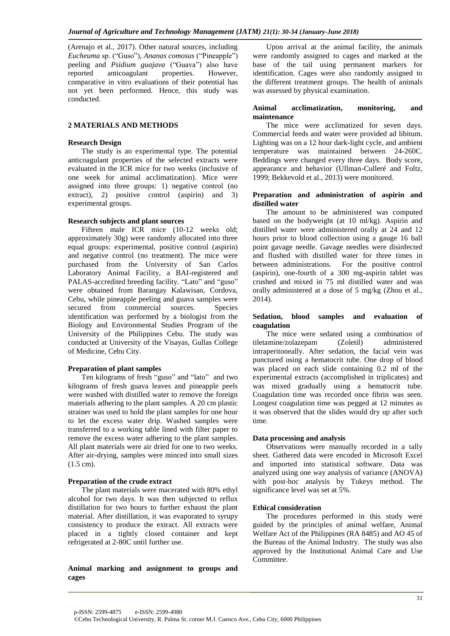(Arenajo et al., 2017). Other natural sources, including *Eucheuma* sp. ("Guso"), *Ananas comosus* ("Pineapple") peeling and *Psidium guajava* ("Guava") also have<br>reported anticoagulant properties. However, anticoagulant properties. However, comparative in vitro evaluations of their potential has not yet been performed. Hence, this study was conducted.

## **2 MATERIALS AND METHODS**

#### **Research Design**

The study is an experimental type. The potential anticoagulant properties of the selected extracts were evaluated in the ICR mice for two weeks (inclusive of one week for animal acclimatization). Mice were assigned into three groups: 1) negative control (no extract), 2) positive control (aspirin) and 3) experimental groups.

## **Research subjects and plant sources**

Fifteen male ICR mice (10-12 weeks old; approximately 30g) were randomly allocated into three equal groups: experimental, positive control (aspirin) and negative control (no treatment). The mice were purchased from the University of San Carlos Laboratory Animal Facility, a BAI-registered and PALAS-accredited breeding facility. "Lato" and "guso" were obtained from Barangay Kalawisan, Cordova, Cebu, while pineapple peeling and guava samples were secured from commercial sources. Species identification was performed by a biologist from the Biology and Environmental Studies Program of the University of the Philippines Cebu. The study was conducted at University of the Visayas, Gullas College of Medicine, Cebu City.

#### **Preparation of plant samples**

Ten kilograms of fresh "guso" and "lato" and two kilograms of fresh guava leaves and pineapple peels were washed with distilled water to remove the foreign materials adhering to the plant samples. A 20 cm plastic strainer was used to hold the plant samples for one hour to let the excess water drip. Washed samples were transferred to a working table lined with filter paper to remove the excess water adhering to the plant samples. All plant materials were air dried for one to two weeks. After air-drying, samples were minced into small sizes (1.5 cm).

#### **Preparation of the crude extract**

The plant materials were macerated with 80% ethyl alcohol for two days. It was then subjected to reflux distillation for two hours to further exhaust the plant material. After distillation, it was evaporated to syrupy consistency to produce the extract. All extracts were placed in a tightly closed container and kept refrigerated at 2-80C until further use.

**Animal marking and assignment to groups and cages** 

Upon arrival at the animal facility, the animals were randomly assigned to cages and marked at the base of the tail using permanent markers for identification. Cages were also randomly assigned to the different treatment groups. The health of animals was assessed by physical examination.

#### **Animal acclimatization, monitoring, and maintenance**

The mice were acclimatized for seven days. Commercial feeds and water were provided ad libitum. Lighting was on a 12 hour dark-light cycle, and ambient temperature was maintained between 24-260C. Beddings were changed every three days. Body score, appearance and behavior (Ullman-Culleré and Foltz, 1999; Bekkevold et al., 2013) were monitored.

#### **Preparation and administration of aspirin and distilled water**

The amount to be administered was computed based on the bodyweight (at 10 ml/kg). Aspirin and distilled water were administered orally at 24 and 12 hours prior to blood collection using a gauge 16 ball point gavage needle. Gavage needles were disinfected and flushed with distilled water for three times in between administrations. For the positive control (aspirin), one-fourth of a 300 mg-aspirin tablet was crushed and mixed in 75 ml distilled water and was orally administered at a dose of 5 mg/kg (Zhou et al., 2014).

#### **Sedation, blood samples and evaluation of coagulation**

The mice were sedated using a combination of<br>amine/zolazepam (Zoletil) administered tiletamine/zolazepam (Zoletil) administered intraperitoneally. After sedation, the facial vein was punctured using a hematocrit tube. One drop of blood was placed on each slide containing 0.2 ml of the experimental extracts (accomplished in triplicates) and was mixed gradually using a hematocrit tube. Coagulation time was recorded once fibrin was seen. Longest coagulation time was pegged at 12 minutes as it was observed that the slides would dry up after such time.

#### **Data processing and analysis**

Observations were manually recorded in a tally sheet. Gathered data were encoded in Microsoft Excel and imported into statistical software. Data was analyzed using one way analysis of variance (ANOVA) with post-hoc analysis by Tukeys method. The significance level was set at 5%.

## **Ethical consideration**

The procedures performed in this study were guided by the principles of animal welfare, Animal Welfare Act of the Philippines (RA 8485) and AO 45 of the Bureau of the Animal Industry. The study was also approved by the Institutional Animal Care and Use Committee.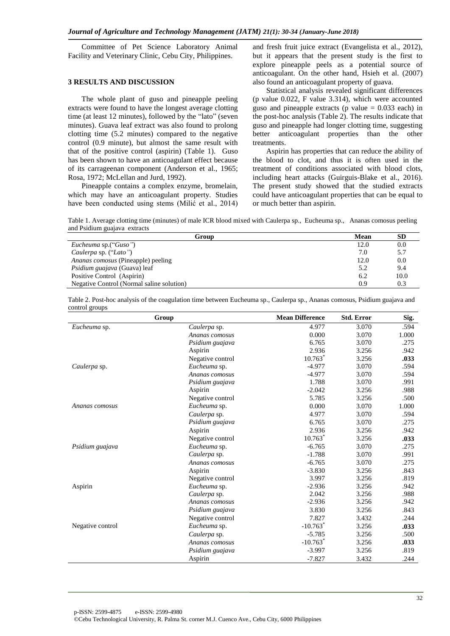Committee of Pet Science Laboratory Animal Facility and Veterinary Clinic, Cebu City, Philippines.

## **3 RESULTS AND DISCUSSION**

The whole plant of guso and pineapple peeling extracts were found to have the longest average clotting time (at least 12 minutes), followed by the "lato" (seven minutes). Guava leaf extract was also found to prolong clotting time (5.2 minutes) compared to the negative control (0.9 minute), but almost the same result with that of the positive control (aspirin) (Table 1). Guso has been shown to have an anticoagulant effect because of its carrageenan component (Anderson et al., 1965; Rosa, 1972; McLellan and Jurd, 1992).

Pineapple contains a complex enzyme, bromelain, which may have an anticoagulant property. Studies have been conducted using stems (Milić et al., 2014)

and fresh fruit juice extract (Evangelista et al., 2012), but it appears that the present study is the first to explore pineapple peels as a potential source of anticoagulant. On the other hand, Hsieh et al. (2007) also found an anticoagulant property of guava.

Statistical analysis revealed significant differences (p value 0.022, F value 3.314), which were accounted guso and pineapple extracts (p value  $= 0.033$  each) in the post-hoc analysis (Table 2). The results indicate that guso and pineapple had longer clotting time, suggesting better anticoagulant properties than the other treatments.

Aspirin has properties that can reduce the ability of the blood to clot, and thus it is often used in the treatment of conditions associated with blood clots, including heart attacks (Guirguis-Blake et al., 2016). The present study showed that the studied extracts could have anticoagulant properties that can be equal to or much better than aspirin.

Table 1. Average clotting time (minutes) of male ICR blood mixed with Caulerpa sp., Eucheuma sp., Ananas comosus peeling and Psidium guajava extracts

| Group                                     | Mean | <b>SD</b> |
|-------------------------------------------|------|-----------|
| Eucheuma sp.("Guso")                      | 12.0 | 0.0       |
| Caulerpa sp. ("Lato")                     | 7.0  | 5.7       |
| Ananas comosus (Pineapple) peeling        | 12.0 | 0.0       |
| <i>Psidium guajava</i> (Guava) leaf       | 5.2  | 9.4       |
| Positive Control (Aspirin)                | 6.2  | 10.0      |
| Negative Control (Normal saline solution) | 0.9  | 0.3       |

| Table 2. Post-hoc analysis of the coagulation time between Eucheuma sp., Caulerpa sp., Ananas comosus, Psidium guajava and |  |  |
|----------------------------------------------------------------------------------------------------------------------------|--|--|
| control groups                                                                                                             |  |  |

|                  | Group            | <b>Mean Difference</b> | <b>Std. Error</b> | Sig.  |
|------------------|------------------|------------------------|-------------------|-------|
| Eucheuma sp.     | Caulerpa sp.     | 4.977                  | 3.070             | .594  |
|                  | Ananas comosus   | 0.000                  | 3.070             | 1.000 |
|                  | Psidium guajava  | 6.765                  | 3.070             | .275  |
|                  | Aspirin          | 2.936                  | 3.256             | .942  |
|                  | Negative control | $10.763*$              | 3.256             | .033  |
| Caulerpa sp.     | Eucheuma sp.     | $-4.977$               | 3.070             | .594  |
|                  | Ananas comosus   | $-4.977$               | 3.070             | .594  |
|                  | Psidium guajava  | 1.788                  | 3.070             | .991  |
|                  | Aspirin          | $-2.042$               | 3.256             | .988  |
|                  | Negative control | 5.785                  | 3.256             | .500  |
| Ananas comosus   | Eucheuma sp.     | 0.000                  | 3.070             | 1.000 |
|                  | Caulerpa sp.     | 4.977                  | 3.070             | .594  |
|                  | Psidium guajava  | 6.765                  | 3.070             | .275  |
|                  | Aspirin          | 2.936                  | 3.256             | .942  |
|                  | Negative control | 10.763                 | 3.256             | .033  |
| Psidium guajava  | Eucheuma sp.     | $-6.765$               | 3.070             | .275  |
|                  | Caulerpa sp.     | $-1.788$               | 3.070             | .991  |
|                  | Ananas comosus   | $-6.765$               | 3.070             | .275  |
|                  | Aspirin          | $-3.830$               | 3.256             | .843  |
|                  | Negative control | 3.997                  | 3.256             | .819  |
| Aspirin          | Eucheuma sp.     | $-2.936$               | 3.256             | .942  |
|                  | Caulerpa sp.     | 2.042                  | 3.256             | .988  |
|                  | Ananas comosus   | $-2.936$               | 3.256             | .942  |
|                  | Psidium guajava  | 3.830                  | 3.256             | .843  |
|                  | Negative control | 7.827                  | 3.432             | .244  |
| Negative control | Eucheuma sp.     | $-10.763$ <sup>*</sup> | 3.256             | .033  |
|                  | Caulerpa sp.     | $-5.785$               | 3.256             | .500  |
|                  | Ananas comosus   | $-10.763$ <sup>*</sup> | 3.256             | .033  |
|                  | Psidium guajava  | $-3.997$               | 3.256             | .819  |
|                  | Aspirin          | $-7.827$               | 3.432             | .244  |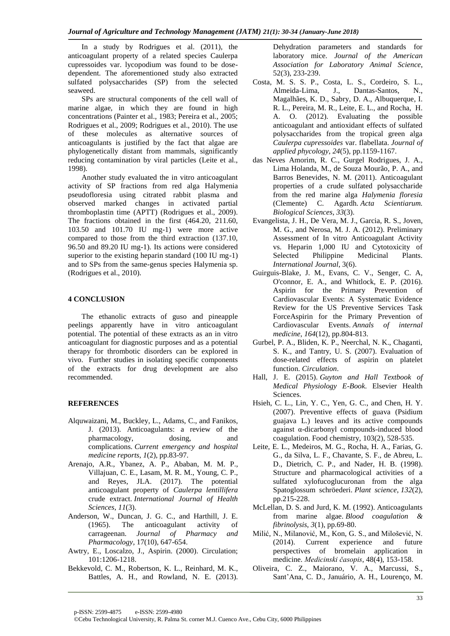In a study by Rodrigues et al. (2011), the anticoagulant property of a related species Caulerpa cupressoides var. lycopodium was found to be dosedependent. The aforementioned study also extracted sulfated polysaccharides (SP) from the selected seaweed.

SPs are structural components of the cell wall of marine algae, in which they are found in high concentrations (Painter et al., 1983; Pereira et al., 2005; Rodrigues et al., 2009; Rodrigues et al., 2010). The use of these molecules as alternative sources of anticoagulants is justified by the fact that algae are phylogenetically distant from mammals, significantly reducing contamination by viral particles (Leite et al., 1998).

Another study evaluated the in vitro anticoagulant activity of SP fractions from red alga Halymenia pseudofloresia using citrated rabbit plasma and observed marked changes in activated partial thromboplastin time (APTT) (Rodrigues et al., 2009). The fractions obtained in the first (464.20, 211.60, 103.50 and 101.70 IU mg-1) were more active compared to those from the third extraction (137.10, 96.50 and 89.20 IU mg-1). Its actions were considered superior to the existing heparin standard (100 IU mg-1) and to SPs from the same-genus species Halymenia sp. (Rodrigues et al., 2010).

## **4 CONCLUSION**

The ethanolic extracts of guso and pineapple peelings apparently have in vitro anticoagulant potential. The potential of these extracts as an in vitro anticoagulant for diagnostic purposes and as a potential therapy for thrombotic disorders can be explored in vivo. Further studies in isolating specific components of the extracts for drug development are also recommended.

## **REFERENCES**

- Alquwaizani, M., Buckley, L., Adams, C., and Fanikos, J. (2013). Anticoagulants: a review of the pharmacology, dosing, and complications. *Current emergency and hospital medicine reports*, *1*(2), pp.83-97.
- Arenajo, A.R., Ybanez, A. P., Ababan, M. M. P., Villajuan, C. E., Lasam, M. R. M., Young, C. P., and Reyes, JLA. (2017). The potential anticoagulant property of *Caulerpa lentillifera* crude extract. *International Journal of Health Sciences*, *11*(3).
- Anderson, W., Duncan, J. G. C., and Harthill, J. E. (1965). The anticoagulant activity of carrageenan. *Journal of Pharmacy and Pharmacology*, 17(10), 647-654.
- Awtry, E., Loscalzo, J., Aspirin. (2000). Circulation; 101:1206-1218.
- Bekkevold, C. M., Robertson, K. L., Reinhard, M. K., Battles, A. H., and Rowland, N. E. (2013).

Dehydration parameters and standards for laboratory mice. *Journal of the American Association for Laboratory Animal Science*, 52(3), 233-239.

- Costa, M. S. S. P., Costa, L. S., Cordeiro, S. L., Almeida-Lima, J., Dantas-Santos, N., Magalhães, K. D., Sabry, D. A., Albuquerque, I. R. L., Pereira, M. R., Leite, E. L., and Rocha, H. A. O. (2012). Evaluating the possible anticoagulant and antioxidant effects of sulfated polysaccharides from the tropical green alga *Caulerpa cupressoides* var. flabellata. *Journal of applied phycology*, *24*(5), pp.1159-1167.
- das Neves Amorim, R. C., Gurgel Rodrigues, J. A., Lima Holanda, M., de Souza Mourão, P. A., and Barros Benevides, N. M. (2011). Anticoagulant properties of a crude sulfated polysaccharide from the red marine alga *Halymenia floresia* (Clemente) C. Agardh. *Acta Scientiarum. Biological Sciences*, *33*(3).
- Evangelista, J. H., De Vera, M. J., Garcia, R. S., Joven, M. G., and Nerosa, M. J. A. (2012). Preliminary Assessment of In vitro Anticoagulant Activity vs. Heparin 1,000 IU and Cytotoxicity of Selected Philippine Medicinal Plants. *International Journal*, 3(6).
- Guirguis-Blake, J. M., Evans, C. V., Senger, C. A, O'connor, E. A., and Whitlock, E. P. (2016). Aspirin for the Primary Prevention of Cardiovascular Events: A Systematic Evidence Review for the US Preventive Services Task ForceAspirin for the Primary Prevention of Cardiovascular Events. *Annals of internal medicine*, *164*(12), pp.804-813.
- Gurbel, P. A., Bliden, K. P., Neerchal, N. K., Chaganti, S. K., and Tantry, U. S. (2007). Evaluation of dose-related effects of aspirin on platelet function. *Circulation*.
- Hall, J. E. (2015). *Guyton and Hall Textbook of Medical Physiology E-Book*. Elsevier Health Sciences.
- Hsieh, C. L., Lin, Y. C., Yen, G. C., and Chen, H. Y. (2007). Preventive effects of guava (Psidium guajava L.) leaves and its active compounds against α-dicarbonyl compounds-induced blood coagulation. Food chemistry, 103(2), 528-535.
- Leite, E. L., Medeiros, M. G., Rocha, H. A., Farias, G. G., da Silva, L. F., Chavante, S. F., de Abreu, L. D., Dietrich, C. P., and Nader, H. B. (1998). Structure and pharmacological activities of a sulfated xylofucoglucuronan from the alga Spatoglossum schröederi. *Plant science*, *132*(2), pp.215-228.
- McLellan, D. S. and Jurd, K. M. (1992). Anticoagulants from marine algae. *Blood coagulation & fibrinolysis*, *3*(1), pp.69-80.
- Milić, N., Milanović, M., Kon, G. S., and Milošević, N. (2014). Current experience and future perspectives of bromelain application in medicine. *Medicinski časopis*, 48(4), 153-158.
- Oliveira, C. Z., Maiorano, V. A., Marcussi, S., Sant'Ana, C. D., Januário, A. H., Lourenço, M.